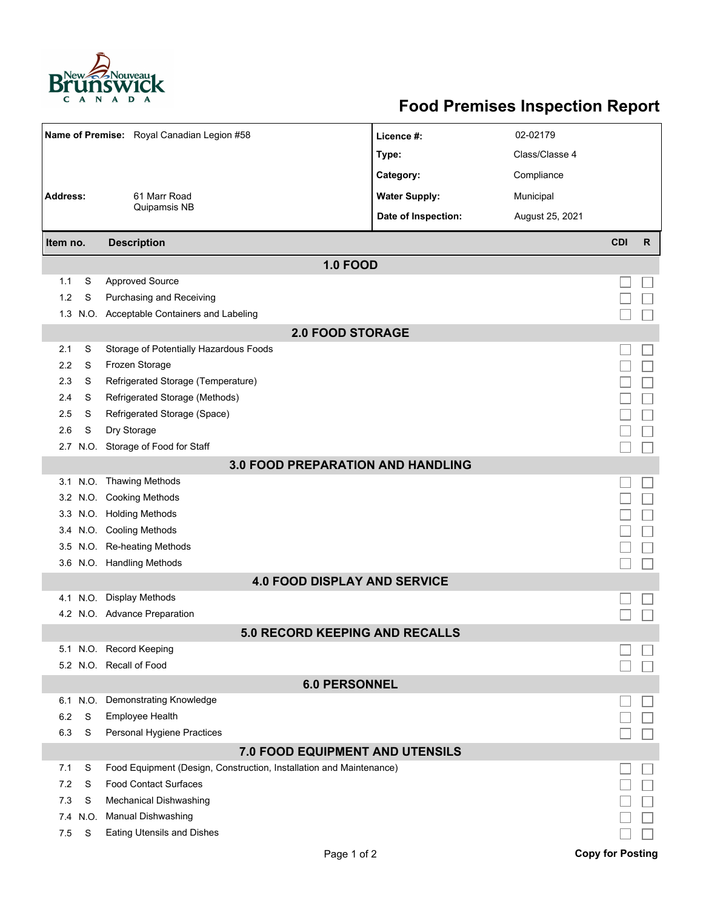

## **Food Premises Inspection Report**

|                                          |          | Name of Premise: Royal Canadian Legion #58                          | Licence #:          | 02-02179        |            |              |  |  |  |  |  |  |
|------------------------------------------|----------|---------------------------------------------------------------------|---------------------|-----------------|------------|--------------|--|--|--|--|--|--|
|                                          |          |                                                                     |                     | Class/Classe 4  |            |              |  |  |  |  |  |  |
|                                          |          |                                                                     | Type:               |                 |            |              |  |  |  |  |  |  |
|                                          |          |                                                                     | Category:           | Compliance      |            |              |  |  |  |  |  |  |
| <b>Address:</b>                          |          | <b>Water Supply:</b><br>61 Marr Road<br>Municipal                   |                     |                 |            |              |  |  |  |  |  |  |
|                                          |          | Quipamsis NB                                                        | Date of Inspection: | August 25, 2021 |            |              |  |  |  |  |  |  |
| Item no.                                 |          | <b>Description</b>                                                  |                     |                 | <b>CDI</b> | $\mathsf{R}$ |  |  |  |  |  |  |
| <b>1.0 FOOD</b>                          |          |                                                                     |                     |                 |            |              |  |  |  |  |  |  |
| 1.1                                      | S        | <b>Approved Source</b>                                              |                     |                 |            |              |  |  |  |  |  |  |
| 1.2                                      | S        | Purchasing and Receiving                                            |                     |                 |            |              |  |  |  |  |  |  |
|                                          |          | 1.3 N.O. Acceptable Containers and Labeling                         |                     |                 |            |              |  |  |  |  |  |  |
| <b>2.0 FOOD STORAGE</b>                  |          |                                                                     |                     |                 |            |              |  |  |  |  |  |  |
| 2.1                                      | S        | Storage of Potentially Hazardous Foods                              |                     |                 |            |              |  |  |  |  |  |  |
| 2.2                                      | S        | Frozen Storage                                                      |                     |                 |            |              |  |  |  |  |  |  |
| 2.3                                      | S        | Refrigerated Storage (Temperature)                                  |                     |                 |            |              |  |  |  |  |  |  |
| 2.4                                      | S        | Refrigerated Storage (Methods)                                      |                     |                 |            |              |  |  |  |  |  |  |
| 2.5                                      | S        | Refrigerated Storage (Space)                                        |                     |                 |            |              |  |  |  |  |  |  |
| 2.6                                      | S        | Dry Storage                                                         |                     |                 |            |              |  |  |  |  |  |  |
|                                          |          | 2.7 N.O. Storage of Food for Staff                                  |                     |                 |            |              |  |  |  |  |  |  |
| <b>3.0 FOOD PREPARATION AND HANDLING</b> |          |                                                                     |                     |                 |            |              |  |  |  |  |  |  |
|                                          |          | 3.1 N.O. Thawing Methods                                            |                     |                 |            |              |  |  |  |  |  |  |
|                                          |          | 3.2 N.O. Cooking Methods                                            |                     |                 |            |              |  |  |  |  |  |  |
|                                          |          | 3.3 N.O. Holding Methods                                            |                     |                 |            |              |  |  |  |  |  |  |
|                                          |          | 3.4 N.O. Cooling Methods                                            |                     |                 |            |              |  |  |  |  |  |  |
|                                          |          | 3.5 N.O. Re-heating Methods                                         |                     |                 |            |              |  |  |  |  |  |  |
|                                          |          | 3.6 N.O. Handling Methods                                           |                     |                 |            |              |  |  |  |  |  |  |
|                                          |          | <b>4.0 FOOD DISPLAY AND SERVICE</b>                                 |                     |                 |            |              |  |  |  |  |  |  |
|                                          |          | 4.1 N.O. Display Methods                                            |                     |                 |            |              |  |  |  |  |  |  |
|                                          |          | 4.2 N.O. Advance Preparation                                        |                     |                 |            |              |  |  |  |  |  |  |
|                                          |          | <b>5.0 RECORD KEEPING AND RECALLS</b>                               |                     |                 |            |              |  |  |  |  |  |  |
|                                          |          | 5.1 N.O. Record Keeping                                             |                     |                 |            |              |  |  |  |  |  |  |
|                                          |          | 5.2 N.O. Recall of Food                                             |                     |                 |            |              |  |  |  |  |  |  |
| <b>6.0 PERSONNEL</b>                     |          |                                                                     |                     |                 |            |              |  |  |  |  |  |  |
|                                          | 6.1 N.O. | Demonstrating Knowledge                                             |                     |                 |            |              |  |  |  |  |  |  |
| 6.2                                      | S        | Employee Health                                                     |                     |                 |            |              |  |  |  |  |  |  |
| 6.3                                      | S        | Personal Hygiene Practices                                          |                     |                 |            |              |  |  |  |  |  |  |
| 7.0 FOOD EQUIPMENT AND UTENSILS          |          |                                                                     |                     |                 |            |              |  |  |  |  |  |  |
| 7.1                                      | S        | Food Equipment (Design, Construction, Installation and Maintenance) |                     |                 |            |              |  |  |  |  |  |  |
| 7.2                                      | S        | <b>Food Contact Surfaces</b>                                        |                     |                 |            |              |  |  |  |  |  |  |
| 7.3                                      | S        | <b>Mechanical Dishwashing</b>                                       |                     |                 |            |              |  |  |  |  |  |  |
| 7.4                                      | N.O.     | <b>Manual Dishwashing</b>                                           |                     |                 |            |              |  |  |  |  |  |  |
| 7.5                                      | S        | <b>Eating Utensils and Dishes</b>                                   |                     |                 |            |              |  |  |  |  |  |  |